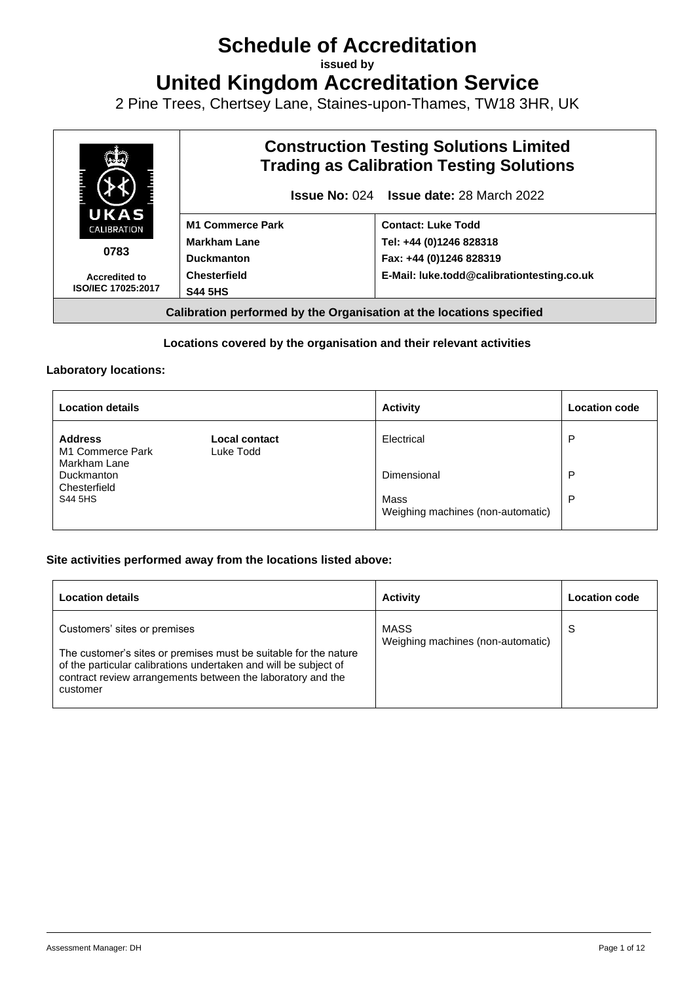# **Schedule of Accreditation**

**issued by**

**United Kingdom Accreditation Service**

2 Pine Trees, Chertsey Lane, Staines-upon-Thames, TW18 3HR, UK



# **Locations covered by the organisation and their relevant activities**

### **Laboratory locations:**

| <b>Location details</b>                            |                            | <b>Activity</b>                           | <b>Location code</b> |
|----------------------------------------------------|----------------------------|-------------------------------------------|----------------------|
| <b>Address</b><br>M1 Commerce Park<br>Markham Lane | Local contact<br>Luke Todd | Electrical                                | P                    |
| Duckmanton<br>Chesterfield                         |                            | Dimensional                               | P                    |
| S44 5HS                                            |                            | Mass<br>Weighing machines (non-automatic) | P                    |

### **Site activities performed away from the locations listed above:**

| <b>Location details</b>                                                                                                                                                                                                                         | <b>Activity</b>                           | <b>Location code</b> |
|-------------------------------------------------------------------------------------------------------------------------------------------------------------------------------------------------------------------------------------------------|-------------------------------------------|----------------------|
| Customers' sites or premises<br>The customer's sites or premises must be suitable for the nature<br>of the particular calibrations undertaken and will be subject of<br>contract review arrangements between the laboratory and the<br>customer | MASS<br>Weighing machines (non-automatic) | S                    |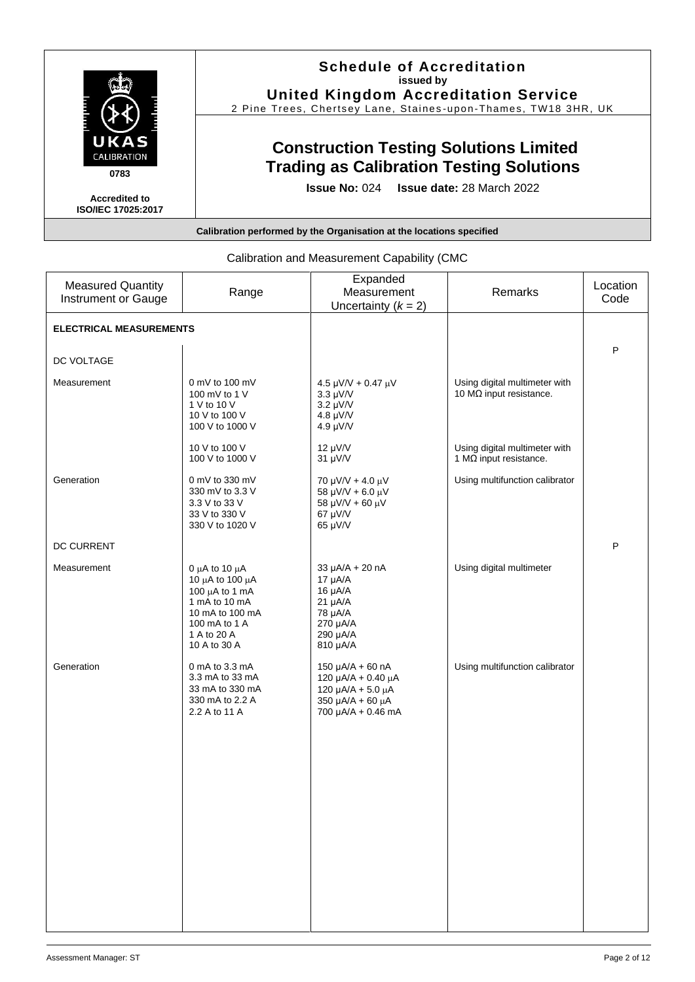|                                                   | <b>Schedule of Accreditation</b><br>issued by<br><b>United Kingdom Accreditation Service</b><br>2 Pine Trees, Chertsey Lane, Staines-upon-Thames, TW18 3HR, UK |
|---------------------------------------------------|----------------------------------------------------------------------------------------------------------------------------------------------------------------|
| UKAS<br><b>CALIBRATION</b><br>0783                | <b>Construction Testing Solutions Limited</b><br><b>Trading as Calibration Testing Solutions</b>                                                               |
| <b>Accredited to</b><br><b>ISO/IEC 17025:2017</b> | <b>Issue No: 024 Issue date: 28 March 2022</b>                                                                                                                 |
|                                                   | Calibration performed by the Organisation at the locations specified                                                                                           |

| <b>Measured Quantity</b><br>Instrument or Gauge | Range                                                                                                                                            | Expanded<br>Measurement<br>Uncertainty $(k = 2)$                                                                   | Remarks                                                         | Location<br>Code |
|-------------------------------------------------|--------------------------------------------------------------------------------------------------------------------------------------------------|--------------------------------------------------------------------------------------------------------------------|-----------------------------------------------------------------|------------------|
| <b>ELECTRICAL MEASUREMENTS</b>                  |                                                                                                                                                  |                                                                                                                    |                                                                 |                  |
| DC VOLTAGE                                      |                                                                                                                                                  |                                                                                                                    |                                                                 | P                |
| Measurement                                     | $0$ mV to 100 mV<br>100 mV to 1 V<br>1 V to 10 V<br>10 V to 100 V<br>100 V to 1000 V                                                             | $4.5 \mu$ V/V + 0.47 $\mu$ V<br>$3.3 \mu\text{V/V}$<br>$3.2 \mu\text{V/V}$<br>$4.8 \mu\text{V/N}$<br>4.9 $\mu$ V/V | Using digital multimeter with<br>10 $M\Omega$ input resistance. |                  |
|                                                 | 10 V to 100 V<br>100 V to 1000 V                                                                                                                 | $12 \mu V/V$<br>31 µV/V                                                                                            | Using digital multimeter with<br>1 $M\Omega$ input resistance.  |                  |
| Generation                                      | 0 mV to 330 mV<br>330 mV to 3.3 V<br>3.3 V to 33 V<br>33 V to 330 V<br>330 V to 1020 V                                                           | 70 $\mu$ V/V + 4.0 $\mu$ V<br>58 µV/V + 6.0 $\mu$ V<br>58 µV/V + 60 µV<br>67 µV/V<br>65 µV/V                       | Using multifunction calibrator                                  |                  |
| DC CURRENT                                      |                                                                                                                                                  |                                                                                                                    |                                                                 | P                |
| Measurement                                     | 0 $\mu$ A to 10 $\mu$ A<br>10 μA to 100 μA<br>100 µA to 1 mA<br>1 mA to 10 mA<br>10 mA to 100 mA<br>100 mA to 1 A<br>1 A to 20 A<br>10 A to 30 A | $33 \mu A/A + 20 nA$<br>17 µA/A<br>$16 \mu A/A$<br>$21 \mu A/A$<br>78 µA/A<br>270 µA/A<br>290 µA/A<br>810 µA/A     | Using digital multimeter                                        |                  |
| Generation                                      | 0 mA to 3.3 mA<br>3.3 mA to 33 mA<br>33 mA to 330 mA<br>330 mA to 2.2 A<br>2.2 A to 11 A                                                         | 150 µA/A + 60 nA<br>120 μA/A + 0.40 μA<br>120 $\mu$ A/A + 5.0 $\mu$ A<br>350 µA/A + 60 µA<br>700 µA/A + 0.46 mA    | Using multifunction calibrator                                  |                  |

# Calibration and Measurement Capability (CMC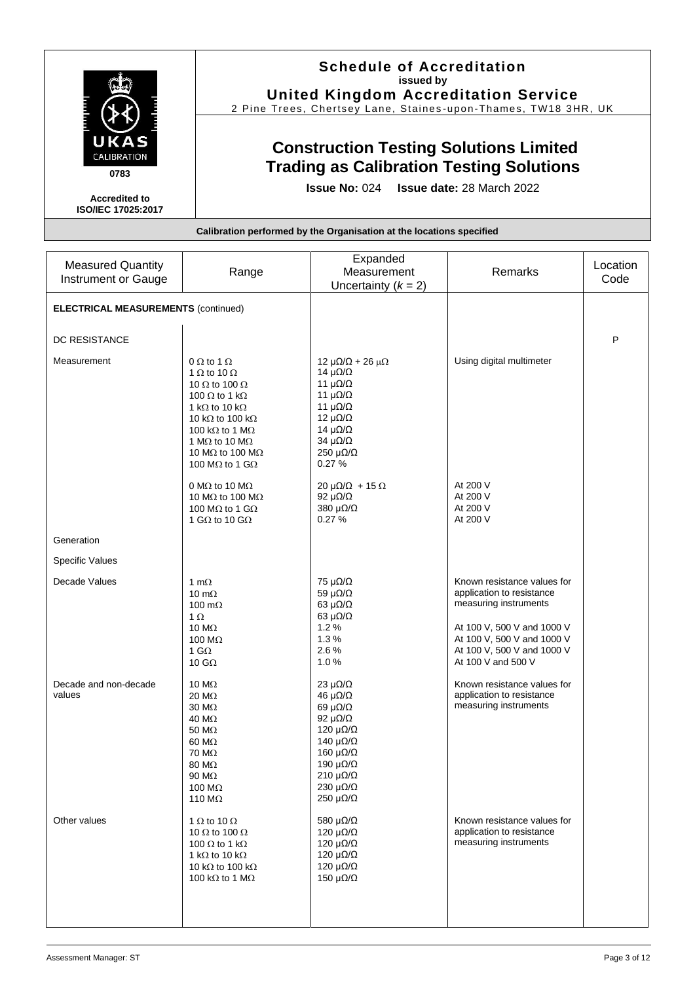|                                                   | <b>Schedule of Accreditation</b><br>issued by<br><b>United Kingdom Accreditation Service</b>                                                       |
|---------------------------------------------------|----------------------------------------------------------------------------------------------------------------------------------------------------|
|                                                   | 2 Pine Trees, Chertsey Lane, Staines-upon-Thames, TW18 3HR, UK                                                                                     |
| UKAS<br><b>CALIBRATION</b><br>0783                | <b>Construction Testing Solutions Limited</b><br><b>Trading as Calibration Testing Solutions</b><br><b>Issue No: 024 Issue date: 28 March 2022</b> |
| <b>Accredited to</b><br><b>ISO/IEC 17025:2017</b> |                                                                                                                                                    |
|                                                   | Calibration performed by the Organisation at the locations specified                                                                               |

| <b>Measured Quantity</b><br><b>Instrument or Gauge</b> | Range                                                                                                                                                                                                                                                                                                            | Expanded<br>Measurement<br>Uncertainty $(k = 2)$                                                                                                                                                                                                                           | Remarks                                                                                                                                                                                           | Location<br>Code |
|--------------------------------------------------------|------------------------------------------------------------------------------------------------------------------------------------------------------------------------------------------------------------------------------------------------------------------------------------------------------------------|----------------------------------------------------------------------------------------------------------------------------------------------------------------------------------------------------------------------------------------------------------------------------|---------------------------------------------------------------------------------------------------------------------------------------------------------------------------------------------------|------------------|
| <b>ELECTRICAL MEASUREMENTS (continued)</b>             |                                                                                                                                                                                                                                                                                                                  |                                                                                                                                                                                                                                                                            |                                                                                                                                                                                                   |                  |
| DC RESISTANCE                                          |                                                                                                                                                                                                                                                                                                                  |                                                                                                                                                                                                                                                                            |                                                                                                                                                                                                   | P                |
| Measurement                                            | $0 \Omega$ to 1 $\Omega$<br>1 $\Omega$ to 10 $\Omega$<br>10 $\Omega$ to 100 $\Omega$<br>100 $\Omega$ to 1 k $\Omega$<br>1 k $\Omega$ to 10 k $\Omega$<br>10 k $\Omega$ to 100 k $\Omega$<br>100 kΩ to 1 MΩ<br>1 M $\Omega$ to 10 M $\Omega$<br>10 M $\Omega$ to 100 M $\Omega$<br>100 M $\Omega$ to 1 G $\Omega$ | 12 μ $\Omega/\Omega$ + 26 μ $\Omega$<br>14 $\mu\Omega/\Omega$<br>11 $\mu\Omega/\Omega$<br>11 $\mu\Omega/\Omega$<br>11 $\mu\Omega/\Omega$<br>12 $\mu\Omega/\Omega$<br>14 $\mu\Omega/\Omega$<br>34 $\mu\Omega/\Omega$<br>250 $\mu\Omega/\Omega$<br>0.27%                     | Using digital multimeter                                                                                                                                                                          |                  |
|                                                        | 0 M $\Omega$ to 10 M $\Omega$<br>10 M $\Omega$ to 100 M $\Omega$<br>100 M $\Omega$ to 1 G $\Omega$<br>1 G $\Omega$ to 10 G $\Omega$                                                                                                                                                                              | $20 \mu\Omega/\Omega$ + 15 $\Omega$<br>92 $\mu\Omega/\Omega$<br>380 $\mu\Omega/\Omega$<br>0.27%                                                                                                                                                                            | At 200 V<br>At 200 V<br>At 200 V<br>At 200 V                                                                                                                                                      |                  |
| Generation                                             |                                                                                                                                                                                                                                                                                                                  |                                                                                                                                                                                                                                                                            |                                                                                                                                                                                                   |                  |
| <b>Specific Values</b>                                 |                                                                                                                                                                                                                                                                                                                  |                                                                                                                                                                                                                                                                            |                                                                                                                                                                                                   |                  |
| Decade Values                                          | 1 m $\Omega$<br>10 m $\Omega$<br>100 m $\Omega$<br>$1 \Omega$<br>10 $M\Omega$<br>100 M $\Omega$<br>1 G $\Omega$<br>10 G $\Omega$                                                                                                                                                                                 | 75 $\mu\Omega/\Omega$<br>59 $\mu\Omega/\Omega$<br>63 $\mu\Omega/\Omega$<br>63 $\mu\Omega/\Omega$<br>1.2%<br>1.3%<br>2.6%<br>1.0%                                                                                                                                           | Known resistance values for<br>application to resistance<br>measuring instruments<br>At 100 V, 500 V and 1000 V<br>At 100 V, 500 V and 1000 V<br>At 100 V, 500 V and 1000 V<br>At 100 V and 500 V |                  |
| Decade and non-decade<br>values                        | 10 $M\Omega$<br>20 MΩ<br>30 MΩ<br>40 MΩ<br>50 MΩ<br>60 MΩ<br>70 MΩ<br>80 MΩ<br>90 MΩ<br>100 M $\Omega$<br>110 M $\Omega$                                                                                                                                                                                         | $23 \mu\Omega/\Omega$<br>46 μ $Ω/Ω$<br>$69 \mu\Omega/\Omega$<br>92 $\mu\Omega/\Omega$<br>120 $\mu\Omega/\Omega$<br>140 $\mu\Omega/\Omega$<br>160 μ $\Omega/\Omega$<br>190 $\mu\Omega/\Omega$<br>$210 \mu\Omega/\Omega$<br>230 $\mu\Omega/\Omega$<br>250 $\mu\Omega/\Omega$ | Known resistance values for<br>application to resistance<br>measuring instruments                                                                                                                 |                  |
| Other values                                           | 1 $\Omega$ to 10 $\Omega$<br>10 $\Omega$ to 100 $\Omega$<br>100 $\Omega$ to 1 k $\Omega$<br>1 k $\Omega$ to 10 k $\Omega$<br>10 k $\Omega$ to 100 k $\Omega$<br>100 k $\Omega$ to 1 M $\Omega$                                                                                                                   | 580 $\mu\Omega/\Omega$<br>120 $\mu\Omega/\Omega$<br>120 $\mu\Omega/\Omega$<br>120 $\mu\Omega/\Omega$<br>120 $\mu\Omega/\Omega$<br>150 $\mu\Omega/\Omega$                                                                                                                   | Known resistance values for<br>application to resistance<br>measuring instruments                                                                                                                 |                  |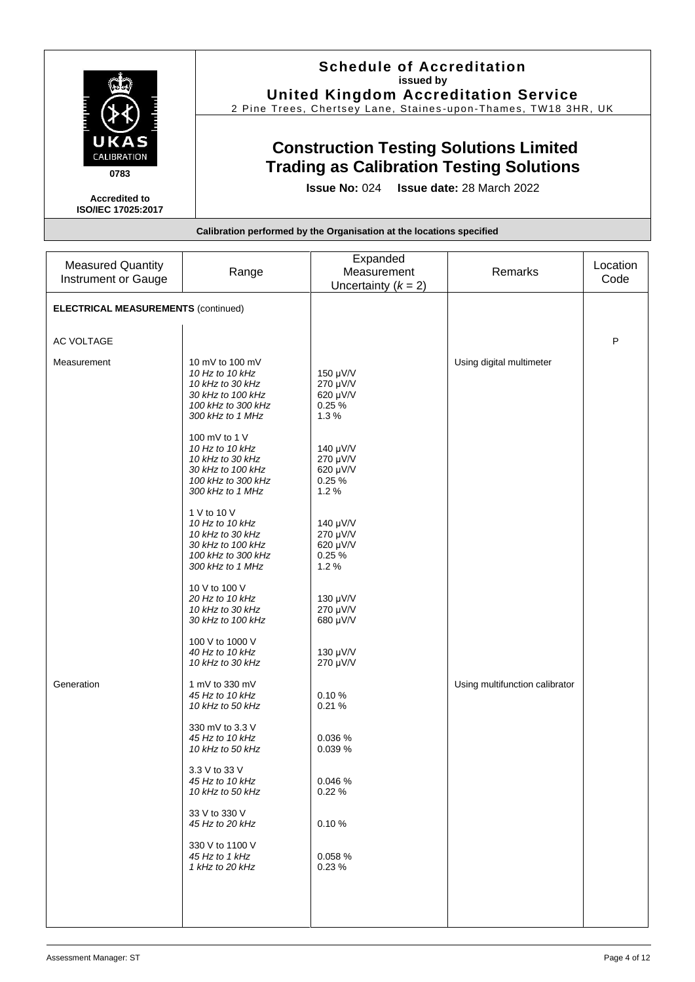|                                                   | <b>Schedule of Accreditation</b><br>issued by<br><b>United Kingdom Accreditation Service</b><br>2 Pine Trees, Chertsey Lane, Staines-upon-Thames, TW18 3HR, UK |
|---------------------------------------------------|----------------------------------------------------------------------------------------------------------------------------------------------------------------|
| UKAS<br><b>CALIBRATION</b><br>0783                | <b>Construction Testing Solutions Limited</b><br><b>Trading as Calibration Testing Solutions</b>                                                               |
| <b>Accredited to</b><br><b>ISO/IEC 17025:2017</b> | <b>Issue No: 024 Issue date: 28 March 2022</b>                                                                                                                 |
|                                                   | Calibration performed by the Organisation at the locations specified                                                                                           |

| <b>Measured Quantity</b><br>Instrument or Gauge | Range                                                                                                                 | Expanded<br>Measurement<br>Uncertainty $(k = 2)$  | Remarks                        | Location<br>Code |
|-------------------------------------------------|-----------------------------------------------------------------------------------------------------------------------|---------------------------------------------------|--------------------------------|------------------|
| <b>ELECTRICAL MEASUREMENTS (continued)</b>      |                                                                                                                       |                                                   |                                |                  |
| AC VOLTAGE                                      |                                                                                                                       |                                                   |                                | P                |
| Measurement                                     | 10 mV to 100 mV<br>10 Hz to 10 kHz<br>10 kHz to 30 kHz<br>30 kHz to 100 kHz<br>100 kHz to 300 kHz<br>300 kHz to 1 MHz | 150 µV/V<br>270 µV/V<br>620 µV/V<br>0.25%<br>1.3% | Using digital multimeter       |                  |
|                                                 | 100 mV to 1 V<br>10 Hz to 10 kHz<br>10 kHz to 30 kHz<br>30 kHz to 100 kHz<br>100 kHz to 300 kHz<br>300 kHz to 1 MHz   | 140 µV/V<br>270 µV/V<br>620 µV/V<br>0.25%<br>1.2% |                                |                  |
|                                                 | 1 V to 10 V<br>10 Hz to 10 kHz<br>10 kHz to 30 kHz<br>30 kHz to 100 kHz<br>100 kHz to 300 kHz<br>300 kHz to 1 MHz     | 140 µV/V<br>270 µV/V<br>620 µV/V<br>0.25%<br>1.2% |                                |                  |
|                                                 | 10 V to 100 V<br>20 Hz to 10 kHz<br>10 kHz to 30 kHz<br>30 kHz to 100 kHz                                             | 130 µV/V<br>270 µV/V<br>680 µV/V                  |                                |                  |
|                                                 | 100 V to 1000 V<br>40 Hz to 10 kHz<br>10 kHz to 30 kHz                                                                | 130 µV/V<br>270 µV/V                              |                                |                  |
| Generation                                      | 1 mV to 330 mV<br>45 Hz to 10 kHz<br>10 kHz to 50 kHz                                                                 | 0.10%<br>0.21%                                    | Using multifunction calibrator |                  |
|                                                 | 330 mV to 3.3 V<br>45 Hz to 10 kHz<br>10 kHz to 50 kHz                                                                | 0.036 %<br>0.039 %                                |                                |                  |
|                                                 | 3.3 V to 33 V<br>45 Hz to 10 kHz<br>10 kHz to 50 kHz                                                                  | 0.046 %<br>0.22%                                  |                                |                  |
|                                                 | 33 V to 330 V<br>45 Hz to 20 kHz                                                                                      | 0.10%                                             |                                |                  |
|                                                 | 330 V to 1100 V<br>45 Hz to 1 kHz<br>1 kHz to 20 kHz                                                                  | 0.058 %<br>0.23%                                  |                                |                  |
|                                                 |                                                                                                                       |                                                   |                                |                  |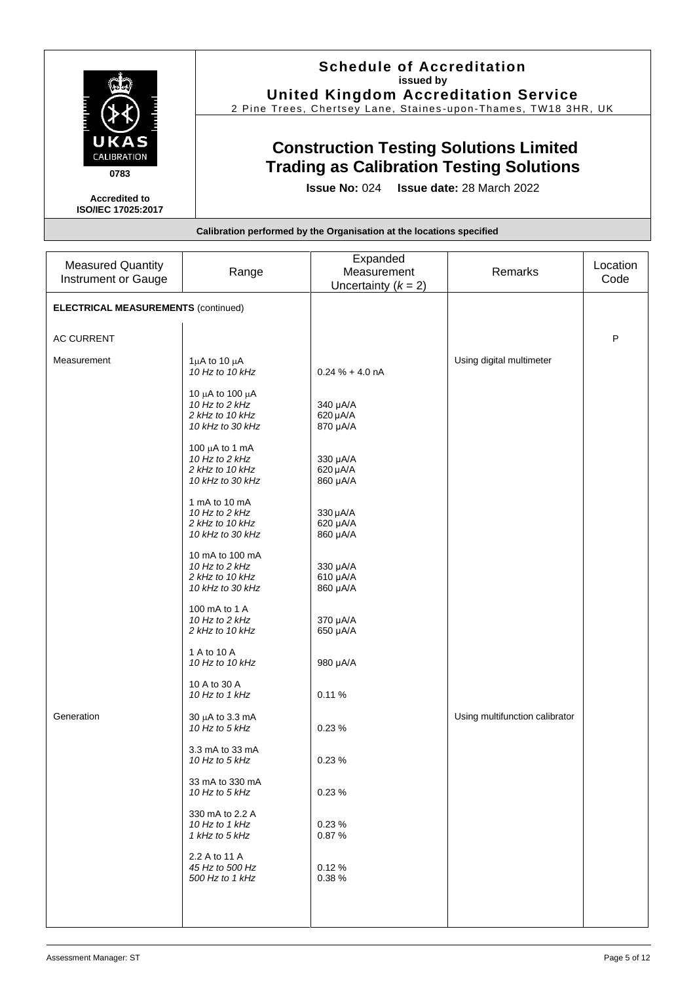|                                                   | <b>Schedule of Accreditation</b><br>issued by<br><b>United Kingdom Accreditation Service</b><br>2 Pine Trees, Chertsey Lane, Staines-upon-Thames, TW18 3HR, UK |
|---------------------------------------------------|----------------------------------------------------------------------------------------------------------------------------------------------------------------|
| UKAS<br><b>CALIBRATION</b><br>0783                | <b>Construction Testing Solutions Limited</b><br><b>Trading as Calibration Testing Solutions</b>                                                               |
| <b>Accredited to</b><br><b>ISO/IEC 17025:2017</b> | <b>Issue No: 024 Issue date: 28 March 2022</b>                                                                                                                 |
|                                                   | Calibration performed by the Organisation at the locations specified                                                                                           |

| <b>Measured Quantity</b><br>Instrument or Gauge | Range                                                                        | Expanded<br>Measurement<br>Uncertainty $(k = 2)$ | Remarks                        | Location<br>Code |
|-------------------------------------------------|------------------------------------------------------------------------------|--------------------------------------------------|--------------------------------|------------------|
| <b>ELECTRICAL MEASUREMENTS (continued)</b>      |                                                                              |                                                  |                                |                  |
| <b>AC CURRENT</b>                               |                                                                              |                                                  |                                | P                |
| Measurement                                     | $1\mu$ A to $10\mu$ A<br>10 Hz to 10 kHz                                     | $0.24 \% + 4.0 nA$                               | Using digital multimeter       |                  |
|                                                 | 10 μA to 100 μA<br>10 Hz to 2 kHz<br>2 kHz to 10 kHz<br>10 kHz to 30 kHz     | 340 µA/A<br>620 µA/A<br>870 µA/A                 |                                |                  |
|                                                 | 100 $\mu$ A to 1 mA<br>10 Hz to 2 kHz<br>2 kHz to 10 kHz<br>10 kHz to 30 kHz | 330 µA/A<br>620 µA/A<br>860 µA/A                 |                                |                  |
|                                                 | 1 mA to 10 mA<br>10 Hz to 2 kHz<br>2 kHz to 10 kHz<br>10 kHz to 30 kHz       | 330 µA/A<br>620 µA/A<br>860 µA/A                 |                                |                  |
|                                                 | 10 mA to 100 mA<br>10 Hz to 2 kHz<br>2 kHz to 10 kHz<br>10 kHz to 30 kHz     | 330 µA/A<br>610 µA/A<br>860 µA/A                 |                                |                  |
|                                                 | 100 mA to 1 A<br>10 Hz to 2 kHz<br>2 kHz to 10 kHz                           | 370 µA/A<br>650 µA/A                             |                                |                  |
|                                                 | 1 A to 10 A<br>10 Hz to 10 kHz                                               | 980 µA/A                                         |                                |                  |
|                                                 | 10 A to 30 A<br>10 Hz to 1 kHz                                               | 0.11%                                            |                                |                  |
| Generation                                      | 30 µA to 3.3 mA<br>10 Hz to 5 kHz                                            | 0.23%                                            | Using multifunction calibrator |                  |
|                                                 | 3.3 mA to 33 mA<br>10 Hz to 5 kHz                                            | 0.23%                                            |                                |                  |
|                                                 | 33 mA to 330 mA<br>10 Hz to 5 kHz                                            | 0.23%                                            |                                |                  |
|                                                 | 330 mA to 2.2 A<br>10 Hz to 1 kHz<br>1 kHz to 5 kHz                          | 0.23%<br>0.87%                                   |                                |                  |
|                                                 | 2.2 A to 11 A<br>45 Hz to 500 Hz<br>500 Hz to 1 kHz                          | 0.12%<br>0.38%                                   |                                |                  |
|                                                 |                                                                              |                                                  |                                |                  |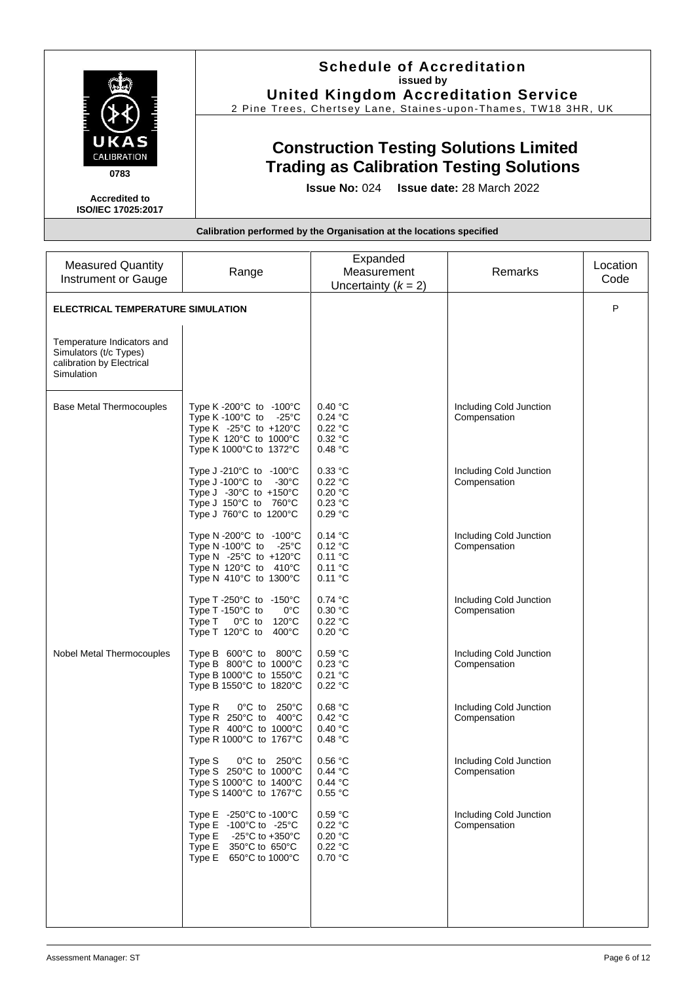|                                                   | <b>Schedule of Accreditation</b><br>issued by                                                    |
|---------------------------------------------------|--------------------------------------------------------------------------------------------------|
|                                                   | <b>United Kingdom Accreditation Service</b>                                                      |
|                                                   | 2 Pine Trees, Chertsey Lane, Staines-upon-Thames, TW18 3HR, UK                                   |
| UKAS<br><b>CALIBRATION</b><br>0783                | <b>Construction Testing Solutions Limited</b><br><b>Trading as Calibration Testing Solutions</b> |
| <b>Accredited to</b><br><b>ISO/IEC 17025:2017</b> | <b>Issue No: 024 Issue date: 28 March 2022</b>                                                   |
|                                                   | Calibration performed by the Organisation at the locations specified                             |

|                                                                                                 |                                                                                                                                                                                                | Expanded                                              |                                         |                  |
|-------------------------------------------------------------------------------------------------|------------------------------------------------------------------------------------------------------------------------------------------------------------------------------------------------|-------------------------------------------------------|-----------------------------------------|------------------|
| <b>Measured Quantity</b><br><b>Instrument or Gauge</b>                                          | Range                                                                                                                                                                                          | Measurement<br>Uncertainty $(k = 2)$                  | Remarks                                 | Location<br>Code |
| ELECTRICAL TEMPERATURE SIMULATION                                                               |                                                                                                                                                                                                |                                                       |                                         | P                |
| Temperature Indicators and<br>Simulators (t/c Types)<br>calibration by Electrical<br>Simulation |                                                                                                                                                                                                |                                                       |                                         |                  |
| <b>Base Metal Thermocouples</b>                                                                 | Type K-200 $^{\circ}$ C to -100 $^{\circ}$ C<br>Type K-100 $^{\circ}$ C to -25 $^{\circ}$ C<br>Type K $-25^{\circ}$ C to $+120^{\circ}$ C<br>Type K 120°C to 1000°C<br>Type K 1000°C to 1372°C | 0.40 °C<br>0.24 °C<br>0.22 °C<br>0.32 °C<br>0.48 °C   | Including Cold Junction<br>Compensation |                  |
|                                                                                                 | Type J-210 $^{\circ}$ C to -100 $^{\circ}$ C<br>Type J-100 $^{\circ}$ C to -30 $^{\circ}$ C<br>Type J $-30^{\circ}$ C to $+150^{\circ}$ C<br>Type J 150°C to 760°C<br>Type J 760°C to 1200°C   | $0.33$ °C<br>0.22 °C<br>0.20 °C<br>0.23 °C<br>0.29 °C | Including Cold Junction<br>Compensation |                  |
|                                                                                                 | Type N-200°C to -100°C<br>Type N-100 $^{\circ}$ C to -25 $^{\circ}$ C<br>Type N $-25^{\circ}$ C to $+120^{\circ}$ C<br>Type N 120°C to 410°C<br>Type N 410°C to 1300°C                         | 0.14 °C<br>0.12 °C<br>0.11 °C<br>0.11 °C<br>0.11 °C   | Including Cold Junction<br>Compensation |                  |
|                                                                                                 | Type T -250°C to -150°C<br>Type T-150°C to<br>$0^{\circ}$ C<br>Type T 0°C to 120°C<br>Type T 120 $^{\circ}$ C to 400 $^{\circ}$ C                                                              | 0.74 °C<br>0.30 °C<br>0.22 °C<br>0.20 °C              | Including Cold Junction<br>Compensation |                  |
| Nobel Metal Thermocouples                                                                       | Type B 600°C to 800°C<br>Type B 800°C to 1000°C<br>Type B 1000°C to 1550°C<br>Type B 1550°C to 1820°C                                                                                          | 0.59 °C<br>0.23 °C<br>0.21 °C<br>0.22 °C              | Including Cold Junction<br>Compensation |                  |
|                                                                                                 | Type R<br>0°C to 250°C<br>Type R $250^{\circ}$ C to $400^{\circ}$ C<br>Type R 400°C to 1000°C<br>Type R 1000°C to 1767°C                                                                       | 0.68 °C<br>0.42 °C<br>0.40 °C<br>0.48 °C              | Including Cold Junction<br>Compensation |                  |
|                                                                                                 | 0°C to 250°C<br>Type S<br>Type S 250°C to 1000°C<br>Type S 1000°C to 1400°C<br>Type S 1400°C to 1767°C                                                                                         | 0.56 °C<br>0.44 °C<br>0.44 °C<br>0.55 °C              | Including Cold Junction<br>Compensation |                  |
|                                                                                                 | Type E -250°C to -100°C<br>Type $E -100^{\circ}C$ to $-25^{\circ}C$<br>Type E $-25^{\circ}$ C to $+350^{\circ}$ C<br>Type $E = 350^{\circ}C$ to $650^{\circ}C$<br>Type E 650°C to 1000°C       | 0.59 °C<br>0.22 °C<br>0.20 °C<br>0.22 °C<br>0.70 °C   | Including Cold Junction<br>Compensation |                  |
|                                                                                                 |                                                                                                                                                                                                |                                                       |                                         |                  |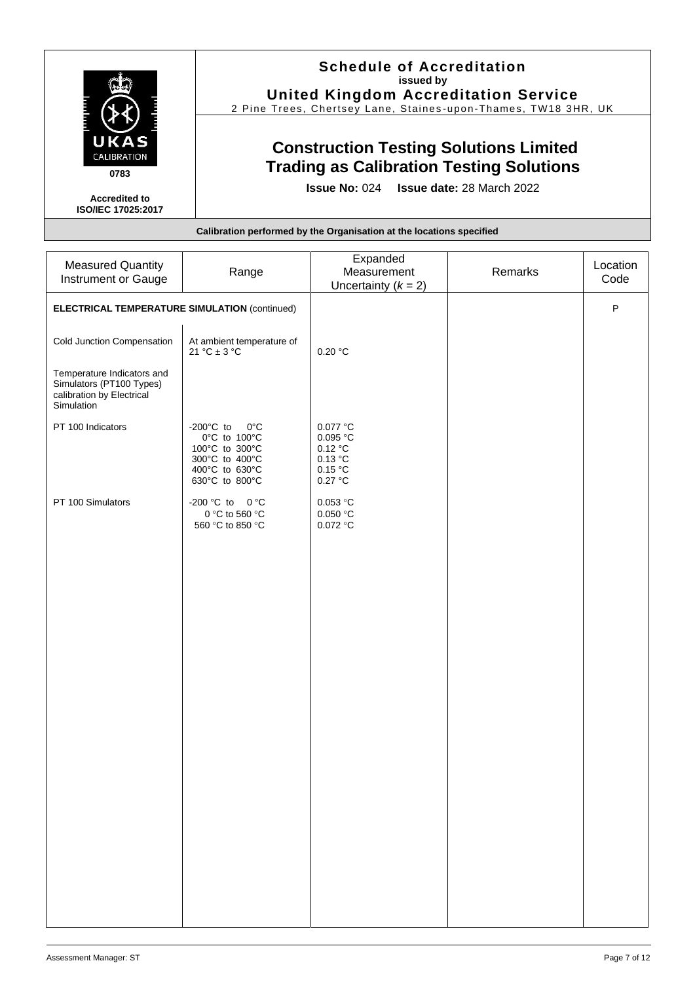|                                                   | <b>Schedule of Accreditation</b><br>issued by<br><b>United Kingdom Accreditation Service</b><br>2 Pine Trees, Chertsey Lane, Staines-upon-Thames, TW18 3HR, UK |
|---------------------------------------------------|----------------------------------------------------------------------------------------------------------------------------------------------------------------|
| UKAS<br><b>CALIBRATION</b><br>0783                | <b>Construction Testing Solutions Limited</b><br><b>Trading as Calibration Testing Solutions</b>                                                               |
| <b>Accredited to</b><br><b>ISO/IEC 17025:2017</b> | <b>Issue No: 024 Issue date: 28 March 2022</b>                                                                                                                 |
|                                                   | Calibration performed by the Organisation at the locations specified                                                                                           |

| <b>Measured Quantity</b>                                                                          | Range                                                                                                                         | Expanded<br>Measurement                                            | Remarks | Location     |
|---------------------------------------------------------------------------------------------------|-------------------------------------------------------------------------------------------------------------------------------|--------------------------------------------------------------------|---------|--------------|
| Instrument or Gauge                                                                               |                                                                                                                               | Uncertainty $(k = 2)$                                              |         | Code         |
| <b>ELECTRICAL TEMPERATURE SIMULATION (continued)</b>                                              |                                                                                                                               |                                                                    |         | $\mathsf{P}$ |
| Cold Junction Compensation                                                                        | At ambient temperature of<br>21 °C $\pm$ 3 °C                                                                                 | 0.20 °C                                                            |         |              |
| Temperature Indicators and<br>Simulators (PT100 Types)<br>calibration by Electrical<br>Simulation |                                                                                                                               |                                                                    |         |              |
| PT 100 Indicators                                                                                 | -200 $^{\circ}$ C to<br>$0^{\circ}$ C<br>0°C to 100°C<br>100°C to 300°C<br>300°C to 400°C<br>400°C to 630°C<br>630°C to 800°C | $0.077$ °C<br>0.095 °C<br>0.12 °C<br>0.13 °C<br>0.15 °C<br>0.27 °C |         |              |
| PT 100 Simulators                                                                                 | -200 °C to 0 °C<br>0 °C to 560 °C<br>560 °C to 850 °C                                                                         | 0.053 °C<br>0.050 °C<br>0.072 °C                                   |         |              |
|                                                                                                   |                                                                                                                               |                                                                    |         |              |
|                                                                                                   |                                                                                                                               |                                                                    |         |              |
|                                                                                                   |                                                                                                                               |                                                                    |         |              |
|                                                                                                   |                                                                                                                               |                                                                    |         |              |
|                                                                                                   |                                                                                                                               |                                                                    |         |              |
|                                                                                                   |                                                                                                                               |                                                                    |         |              |
|                                                                                                   |                                                                                                                               |                                                                    |         |              |
|                                                                                                   |                                                                                                                               |                                                                    |         |              |
|                                                                                                   |                                                                                                                               |                                                                    |         |              |
|                                                                                                   |                                                                                                                               |                                                                    |         |              |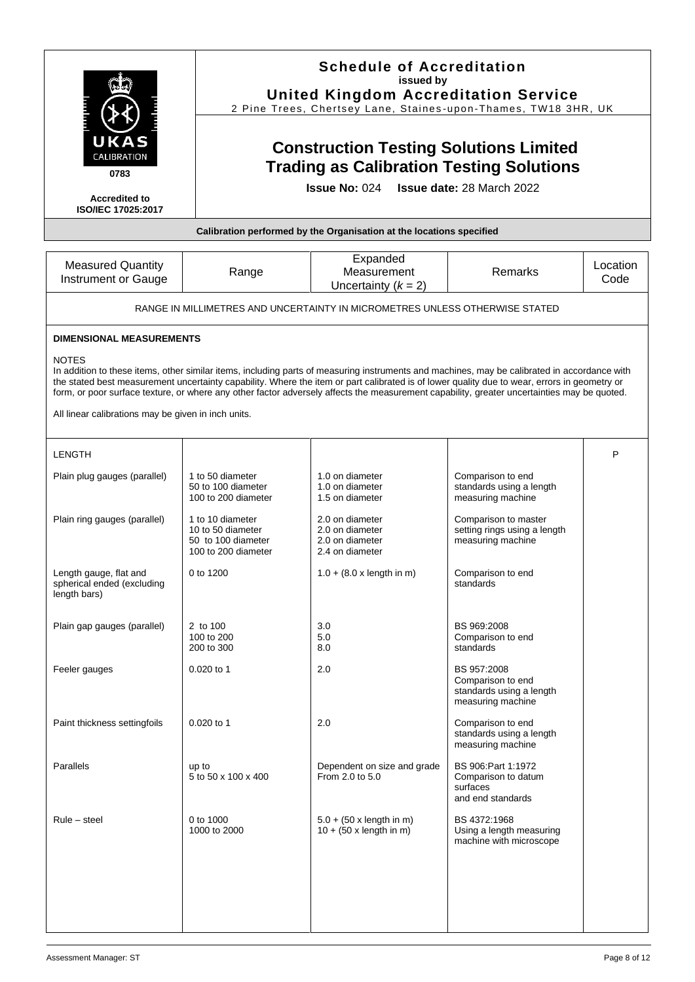|                                                                      | <b>Schedule of Accreditation</b><br>issued by<br><b>United Kingdom Accreditation Service</b><br>2 Pine Trees, Chertsey Lane, Staines-upon-Thames, TW18 3HR, UK |                                                                                                                                                                                                                                                                                                                                                                                                                                             |                                                                                   |                  |  |
|----------------------------------------------------------------------|----------------------------------------------------------------------------------------------------------------------------------------------------------------|---------------------------------------------------------------------------------------------------------------------------------------------------------------------------------------------------------------------------------------------------------------------------------------------------------------------------------------------------------------------------------------------------------------------------------------------|-----------------------------------------------------------------------------------|------------------|--|
| UKAS<br><b>CALIBRATION</b><br>0783                                   | <b>Construction Testing Solutions Limited</b><br><b>Trading as Calibration Testing Solutions</b>                                                               |                                                                                                                                                                                                                                                                                                                                                                                                                                             |                                                                                   |                  |  |
| <b>Accredited to</b><br><b>ISO/IEC 17025:2017</b>                    |                                                                                                                                                                | <b>Issue No: 024</b>                                                                                                                                                                                                                                                                                                                                                                                                                        | <b>Issue date: 28 March 2022</b>                                                  |                  |  |
|                                                                      |                                                                                                                                                                | Calibration performed by the Organisation at the locations specified                                                                                                                                                                                                                                                                                                                                                                        |                                                                                   |                  |  |
| <b>Measured Quantity</b><br>Instrument or Gauge                      | Range                                                                                                                                                          | Expanded<br>Measurement<br>Uncertainty $(k = 2)$                                                                                                                                                                                                                                                                                                                                                                                            | Remarks                                                                           | Location<br>Code |  |
|                                                                      |                                                                                                                                                                | RANGE IN MILLIMETRES AND UNCERTAINTY IN MICROMETRES UNLESS OTHERWISE STATED                                                                                                                                                                                                                                                                                                                                                                 |                                                                                   |                  |  |
| <b>DIMENSIONAL MEASUREMENTS</b>                                      |                                                                                                                                                                |                                                                                                                                                                                                                                                                                                                                                                                                                                             |                                                                                   |                  |  |
| <b>NOTES</b>                                                         |                                                                                                                                                                | In addition to these items, other similar items, including parts of measuring instruments and machines, may be calibrated in accordance with<br>the stated best measurement uncertainty capability. Where the item or part calibrated is of lower quality due to wear, errors in geometry or<br>form, or poor surface texture, or where any other factor adversely affects the measurement capability, greater uncertainties may be quoted. |                                                                                   |                  |  |
| All linear calibrations may be given in inch units.                  |                                                                                                                                                                |                                                                                                                                                                                                                                                                                                                                                                                                                                             |                                                                                   |                  |  |
| <b>LENGTH</b>                                                        |                                                                                                                                                                |                                                                                                                                                                                                                                                                                                                                                                                                                                             |                                                                                   | P                |  |
| Plain plug gauges (parallel)                                         | 1 to 50 diameter<br>50 to 100 diameter<br>100 to 200 diameter                                                                                                  | 1.0 on diameter<br>1.0 on diameter<br>1.5 on diameter                                                                                                                                                                                                                                                                                                                                                                                       | Comparison to end<br>standards using a length<br>measuring machine                |                  |  |
| Plain ring gauges (parallel)                                         | 1 to 10 diameter<br>10 to 50 diameter<br>50 to 100 diameter<br>100 to 200 diameter                                                                             | 2.0 on diameter<br>2.0 on diameter<br>2.0 on diameter<br>2.4 on diameter                                                                                                                                                                                                                                                                                                                                                                    | Comparison to master<br>setting rings using a length<br>measuring machine         |                  |  |
| Length gauge, flat and<br>spherical ended (excluding<br>length bars) | 0 to 1200                                                                                                                                                      | $1.0 + (8.0 \times \text{length in m})$                                                                                                                                                                                                                                                                                                                                                                                                     | Comparison to end<br>standards                                                    |                  |  |
| Plain gap gauges (parallel)                                          | 2 to 100<br>100 to 200<br>200 to 300                                                                                                                           | 3.0<br>5.0<br>8.0                                                                                                                                                                                                                                                                                                                                                                                                                           | BS 969:2008<br>Comparison to end<br>standards                                     |                  |  |
| Feeler gauges                                                        | 0.020 to 1                                                                                                                                                     | 2.0                                                                                                                                                                                                                                                                                                                                                                                                                                         | BS 957:2008<br>Comparison to end<br>standards using a length<br>measuring machine |                  |  |
| Paint thickness settingfoils                                         | 0.020 to 1                                                                                                                                                     | 2.0                                                                                                                                                                                                                                                                                                                                                                                                                                         | Comparison to end<br>standards using a length<br>measuring machine                |                  |  |
| Parallels                                                            | up to<br>5 to 50 x 100 x 400                                                                                                                                   | Dependent on size and grade<br>From 2.0 to 5.0                                                                                                                                                                                                                                                                                                                                                                                              | BS 906: Part 1: 1972<br>Comparison to datum<br>surfaces<br>and end standards      |                  |  |
| $Rule - steel$                                                       | 0 to 1000<br>1000 to 2000                                                                                                                                      | $5.0 + (50 \times \text{length in m})$<br>$10 + (50 \times \text{length in m})$                                                                                                                                                                                                                                                                                                                                                             | BS 4372:1968<br>Using a length measuring<br>machine with microscope               |                  |  |
|                                                                      |                                                                                                                                                                |                                                                                                                                                                                                                                                                                                                                                                                                                                             |                                                                                   |                  |  |
|                                                                      |                                                                                                                                                                |                                                                                                                                                                                                                                                                                                                                                                                                                                             |                                                                                   |                  |  |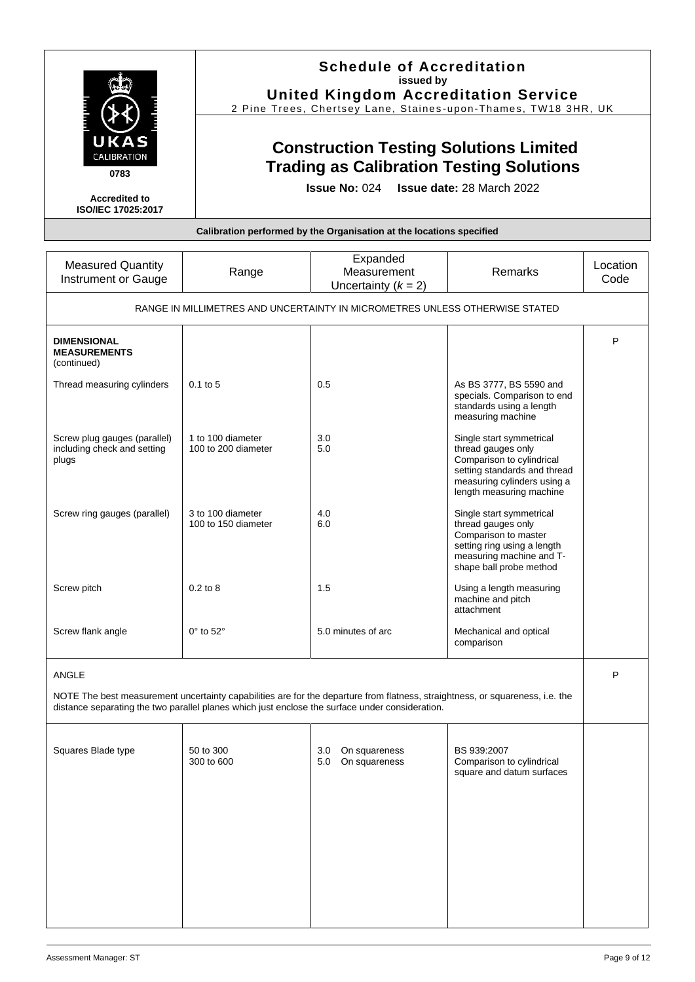|                                                                      | <b>Schedule of Accreditation</b><br>issued by<br><b>United Kingdom Accreditation Service</b><br>2 Pine Trees, Chertsey Lane, Staines-upon-Thames, TW18 3HR, UK |  |
|----------------------------------------------------------------------|----------------------------------------------------------------------------------------------------------------------------------------------------------------|--|
| UKAS<br>CALIBRATION<br>0783                                          | <b>Construction Testing Solutions Limited</b><br><b>Trading as Calibration Testing Solutions</b>                                                               |  |
| <b>Accredited to</b><br>ISO/IEC 17025:2017                           | <b>Issue No: 024 Issue date: 28 March 2022</b>                                                                                                                 |  |
| Calibration performed by the Organisation at the locations specified |                                                                                                                                                                |  |

| <b>Measured Quantity</b><br>Instrument or Gauge                                                                                                                                                                                  | Range                                    | Expanded<br>Measurement<br>Uncertainty $(k = 2)$ | Remarks                                                                                                                                                                | Location<br>Code |
|----------------------------------------------------------------------------------------------------------------------------------------------------------------------------------------------------------------------------------|------------------------------------------|--------------------------------------------------|------------------------------------------------------------------------------------------------------------------------------------------------------------------------|------------------|
| RANGE IN MILLIMETRES AND UNCERTAINTY IN MICROMETRES UNLESS OTHERWISE STATED                                                                                                                                                      |                                          |                                                  |                                                                                                                                                                        |                  |
| <b>DIMENSIONAL</b><br><b>MEASUREMENTS</b><br>(continued)                                                                                                                                                                         |                                          |                                                  |                                                                                                                                                                        | P                |
| Thread measuring cylinders                                                                                                                                                                                                       | $0.1$ to 5                               | 0.5                                              | As BS 3777, BS 5590 and<br>specials. Comparison to end<br>standards using a length<br>measuring machine                                                                |                  |
| Screw plug gauges (parallel)<br>including check and setting<br>plugs                                                                                                                                                             | 1 to 100 diameter<br>100 to 200 diameter | 3.0<br>5.0                                       | Single start symmetrical<br>thread gauges only<br>Comparison to cylindrical<br>setting standards and thread<br>measuring cylinders using a<br>length measuring machine |                  |
| Screw ring gauges (parallel)                                                                                                                                                                                                     | 3 to 100 diameter<br>100 to 150 diameter | 4.0<br>6.0                                       | Single start symmetrical<br>thread gauges only<br>Comparison to master<br>setting ring using a length<br>measuring machine and T-<br>shape ball probe method           |                  |
| Screw pitch                                                                                                                                                                                                                      | $0.2$ to $8$                             | 1.5                                              | Using a length measuring<br>machine and pitch<br>attachment                                                                                                            |                  |
| Screw flank angle                                                                                                                                                                                                                | $0^\circ$ to $52^\circ$                  | 5.0 minutes of arc                               | Mechanical and optical<br>comparison                                                                                                                                   |                  |
| ANGLE                                                                                                                                                                                                                            |                                          |                                                  |                                                                                                                                                                        | P                |
| NOTE The best measurement uncertainty capabilities are for the departure from flatness, straightness, or squareness, i.e. the<br>distance separating the two parallel planes which just enclose the surface under consideration. |                                          |                                                  |                                                                                                                                                                        |                  |
| Squares Blade type                                                                                                                                                                                                               | 50 to 300<br>300 to 600                  | 3.0<br>On squareness<br>5.0<br>On squareness     | BS 939:2007<br>Comparison to cylindrical<br>square and datum surfaces                                                                                                  |                  |
|                                                                                                                                                                                                                                  |                                          |                                                  |                                                                                                                                                                        |                  |
|                                                                                                                                                                                                                                  |                                          |                                                  |                                                                                                                                                                        |                  |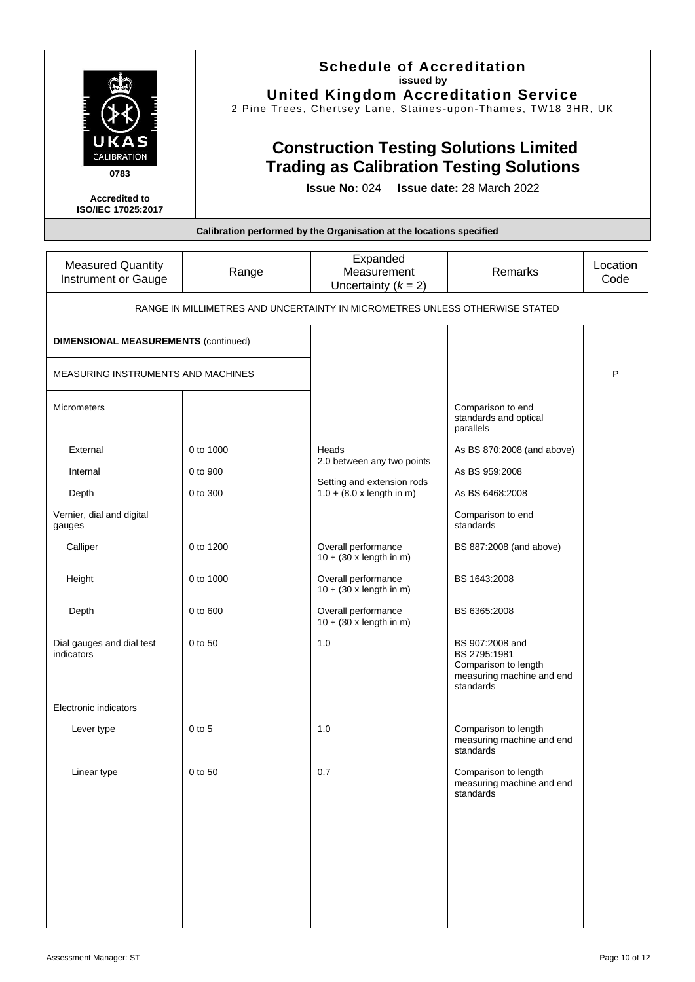|                                            | <b>Schedule of Accreditation</b><br>issued by<br><b>United Kingdom Accreditation Service</b><br>2 Pine Trees, Chertsey Lane, Staines-upon-Thames, TW18 3HR, UK |
|--------------------------------------------|----------------------------------------------------------------------------------------------------------------------------------------------------------------|
| UKAS<br>CALIBRATION<br>0783                | <b>Construction Testing Solutions Limited</b><br><b>Trading as Calibration Testing Solutions</b>                                                               |
| <b>Accredited to</b><br>ISO/IEC 17025:2017 | <b>Issue No: 024 Issue date: 28 March 2022</b>                                                                                                                 |
|                                            | Calibration performed by the Organisation at the locations specified                                                                                           |

| <b>Measured Quantity</b><br>Instrument or Gauge                             | Range     | Expanded<br>Measurement<br>Uncertainty $(k = 2)$                      | Remarks                                                                                           | Location<br>Code |
|-----------------------------------------------------------------------------|-----------|-----------------------------------------------------------------------|---------------------------------------------------------------------------------------------------|------------------|
| RANGE IN MILLIMETRES AND UNCERTAINTY IN MICROMETRES UNLESS OTHERWISE STATED |           |                                                                       |                                                                                                   |                  |
| <b>DIMENSIONAL MEASUREMENTS (continued)</b>                                 |           |                                                                       |                                                                                                   |                  |
| MEASURING INSTRUMENTS AND MACHINES                                          |           |                                                                       |                                                                                                   | P                |
| <b>Micrometers</b>                                                          |           |                                                                       | Comparison to end<br>standards and optical<br>parallels                                           |                  |
| External                                                                    | 0 to 1000 | Heads                                                                 | As BS 870:2008 (and above)                                                                        |                  |
| Internal                                                                    | 0 to 900  | 2.0 between any two points                                            | As BS 959:2008                                                                                    |                  |
| Depth                                                                       | 0 to 300  | Setting and extension rods<br>$1.0 + (8.0 \times \text{length in m})$ | As BS 6468:2008                                                                                   |                  |
| Vernier, dial and digital<br>gauges                                         |           |                                                                       | Comparison to end<br>standards                                                                    |                  |
| Calliper                                                                    | 0 to 1200 | Overall performance<br>$10 + (30 \times \text{length in m})$          | BS 887:2008 (and above)                                                                           |                  |
| Height                                                                      | 0 to 1000 | Overall performance<br>$10 + (30 \times \text{length in m})$          | BS 1643:2008                                                                                      |                  |
| Depth                                                                       | 0 to 600  | Overall performance<br>$10 + (30 \times \text{length in m})$          | BS 6365:2008                                                                                      |                  |
| Dial gauges and dial test<br>indicators                                     | 0 to 50   | 1.0                                                                   | BS 907:2008 and<br>BS 2795:1981<br>Comparison to length<br>measuring machine and end<br>standards |                  |
| Electronic indicators                                                       |           |                                                                       |                                                                                                   |                  |
| Lever type                                                                  | $0$ to 5  | 1.0                                                                   | Comparison to length<br>measuring machine and end<br>standards                                    |                  |
| Linear type                                                                 | 0 to 50   | 0.7                                                                   | Comparison to length<br>measuring machine and end<br>standards                                    |                  |
|                                                                             |           |                                                                       |                                                                                                   |                  |
|                                                                             |           |                                                                       |                                                                                                   |                  |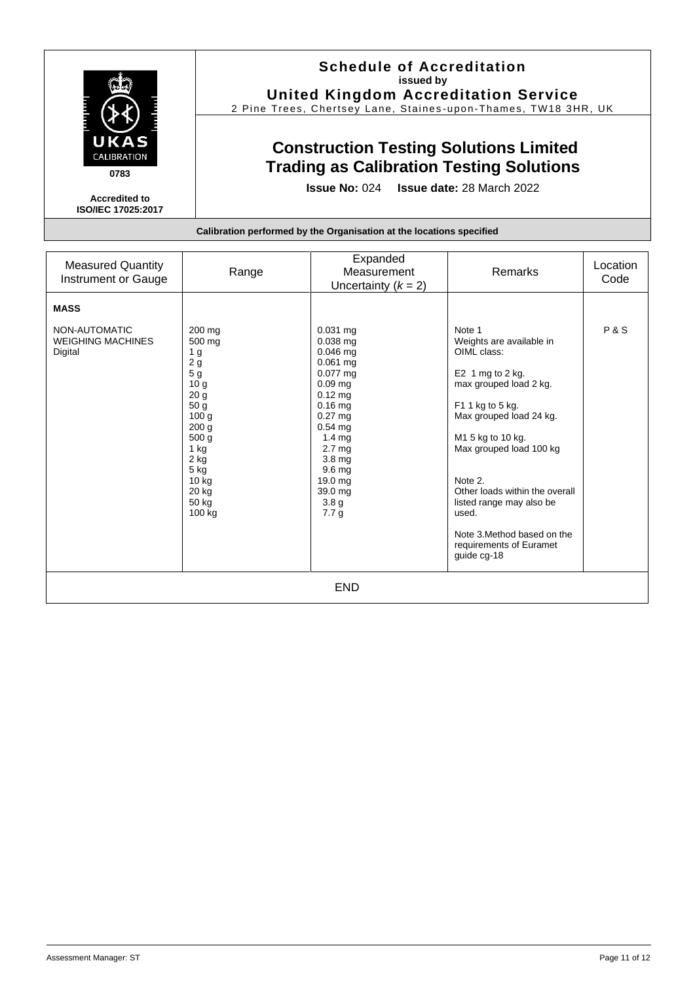|                                                   | <b>Schedule of Accreditation</b><br>issued by<br><b>United Kingdom Accreditation Service</b><br>2 Pine Trees, Chertsey Lane, Staines-upon-Thames, TW18 3HR, UK |
|---------------------------------------------------|----------------------------------------------------------------------------------------------------------------------------------------------------------------|
| UKAS<br><b>CALIBRATION</b><br>0783                | <b>Construction Testing Solutions Limited</b><br><b>Trading as Calibration Testing Solutions</b>                                                               |
| <b>Accredited to</b><br><b>ISO/IEC 17025:2017</b> | <b>Issue No: 024 Issue date: 28 March 2022</b>                                                                                                                 |
|                                                   | Calibration performed by the Organisation at the locations specified                                                                                           |

| <b>Measured Quantity</b><br>Instrument or Gauge      | Range                                                                                                                                                                                                                    | Expanded<br>Measurement<br>Uncertainty $(k = 2)$                                                                                                                                                                                                                                            | Remarks                                                                                                                                                                                                                                                                                                                                                   | Location<br>Code |
|------------------------------------------------------|--------------------------------------------------------------------------------------------------------------------------------------------------------------------------------------------------------------------------|---------------------------------------------------------------------------------------------------------------------------------------------------------------------------------------------------------------------------------------------------------------------------------------------|-----------------------------------------------------------------------------------------------------------------------------------------------------------------------------------------------------------------------------------------------------------------------------------------------------------------------------------------------------------|------------------|
| <b>MASS</b>                                          |                                                                                                                                                                                                                          |                                                                                                                                                                                                                                                                                             |                                                                                                                                                                                                                                                                                                                                                           |                  |
| NON-AUTOMATIC<br><b>WEIGHING MACHINES</b><br>Digital | 200 mg<br>500 mg<br>1 <sub>g</sub><br>2g<br>5 <sub>g</sub><br>10 <sub>g</sub><br>20 g<br>50 g<br>100 <sub>g</sub><br>200 <sub>g</sub><br>500 <sub>g</sub><br>1 kg<br>2 kg<br>$5$ kg<br>10 kg<br>20 kg<br>50 kg<br>100 kg | $0.031$ mg<br>$0.038$ mg<br>$0.046$ mg<br>0.061 mg<br>$0.077 \text{ ma}$<br>$0.09$ mg<br>$0.12$ mg<br>$0.16$ mg<br>$0.27$ mg<br>$0.54$ ma<br>1.4 <sub>mg</sub><br>2.7 <sub>mg</sub><br>3.8 <sub>mg</sub><br>9.6 <sub>mg</sub><br>19.0 mg<br>39.0 mg<br>3.8 <sub>g</sub><br>7.7 <sub>g</sub> | Note 1<br>Weights are available in<br>OIML class:<br>E2 1 mg to 2 kg.<br>max grouped load 2 kg.<br>F1 1 kg to 5 kg.<br>Max grouped load 24 kg.<br>M1 5 kg to 10 kg.<br>Max grouped load 100 kg<br>Note 2.<br>Other loads within the overall<br>listed range may also be<br>used.<br>Note 3. Method based on the<br>requirements of Euramet<br>quide cq-18 | <b>P&amp;S</b>   |
| <b>END</b>                                           |                                                                                                                                                                                                                          |                                                                                                                                                                                                                                                                                             |                                                                                                                                                                                                                                                                                                                                                           |                  |